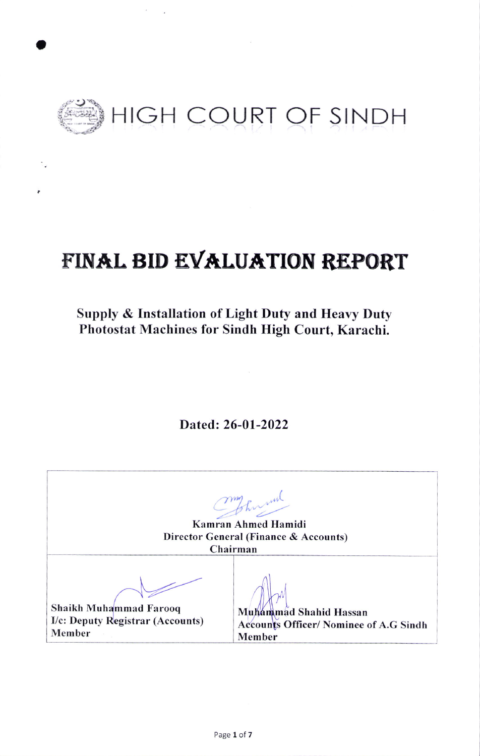

t

# FINAL BID EVALUATION REPORT

## Supply & Installation of Light Duty and Heary Duty Photostat Machines for Sindh High Court, Karachi.

Dated: 26-01-2022

my fun Kamran Ahmed Hamidi Director General (Finance & Accounts) Chairman Muhammad Shahid Hassan Accounts Officer/ Nominee of A.G Sindh Member Shaikh Muhammad Farooq I/c: Deputy Registrar (Accounts) Member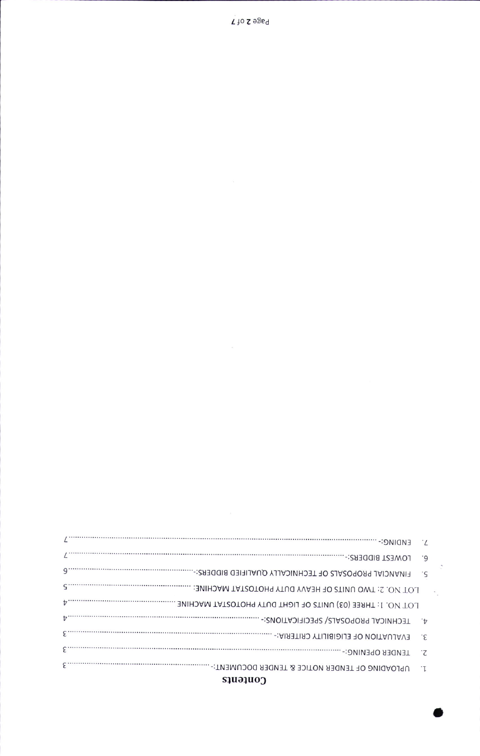### Contents

|            | ۰9                        |  |
|------------|---------------------------|--|
| $9 \cdots$ |                           |  |
|            |                           |  |
| tz         |                           |  |
|            | $\cdot \cdot \mathcal{L}$ |  |
|            | غ.                        |  |
| ε          |                           |  |
| ε          |                           |  |
|            |                           |  |

 $\tilde{\mathcal{L}}$